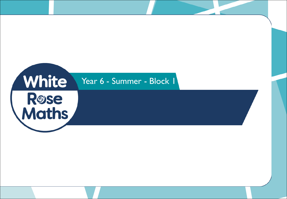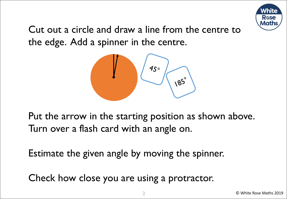

Cut out a circle and draw a line from the centre to the edge. Add a spinner in the centre.



Put the arrow in the starting position as shown above. Turn over a flash card with an angle on.

Estimate the given angle by moving the spinner.

Check how close you are using a protractor.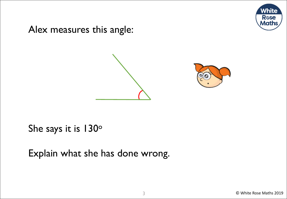

Alex measures this angle:





She says it is 130°

Explain what she has done wrong.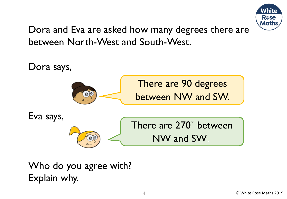

Dora and Eva are asked how many degrees there are between North-West and South-West.



Who do you agree with? Explain why.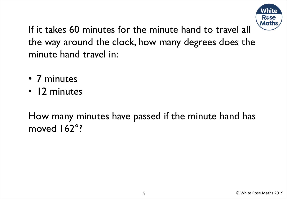

If it takes 60 minutes for the minute hand to travel all the way around the clock, how many degrees does the minute hand travel in:

- 7 minutes
- 12 minutes

How many minutes have passed if the minute hand has moved 162°?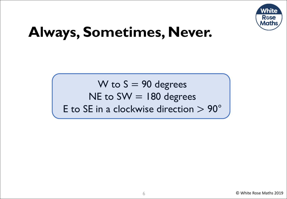

# **Always, Sometimes, Never.**

W to  $S = 90$  degrees NE to  $SW = 180$  degrees E to SE in a clockwise direction > 90°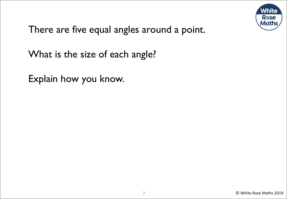

There are five equal angles around a point.

What is the size of each angle?

Explain how you know.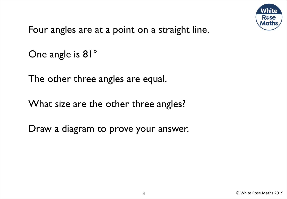

Four angles are at a point on a straight line.

```
One angle is 81°
```
The other three angles are equal.

What size are the other three angles?

Draw a diagram to prove your answer.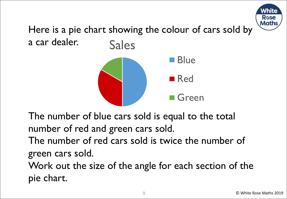

Here is a pie chart showing the colour of cars sold by a car dealer. Sales



The number of blue cars sold is equal to the total number of red and green cars sold.

The number of red cars sold is twice the number of green cars sold.

Work out the size of the angle for each section of the pie chart.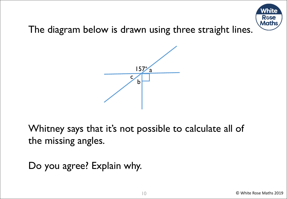

The diagram below is drawn using three straight lines.



Whitney says that it's not possible to calculate all of the missing angles.

Do you agree? Explain why.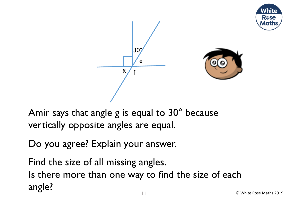



Amir says that angle g is equal to 30° because vertically opposite angles are equal.

Do you agree? Explain your answer.

Find the size of all missing angles. Is there more than one way to find the size of each angle?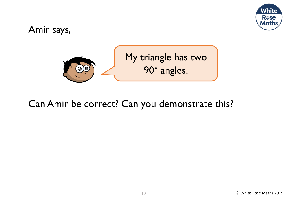

### Amir says,



### Can Amir be correct? Can you demonstrate this?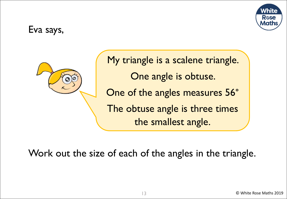

### Eva says,



My triangle is a scalene triangle. One angle is obtuse. One of the angles measures 56° The obtuse angle is three times the smallest angle.

Work out the size of each of the angles in the triangle.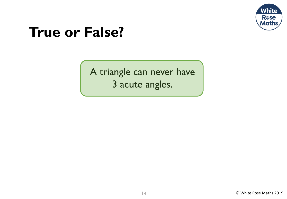

## **True or False?**

A triangle can never have 3 acute angles.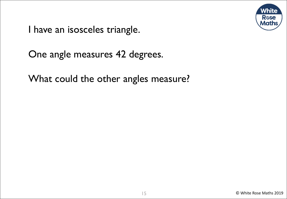

I have an isosceles triangle.

One angle measures 42 degrees.

What could the other angles measure?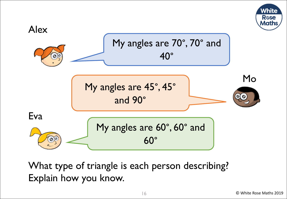



What type of triangle is each person describing? Explain how you know.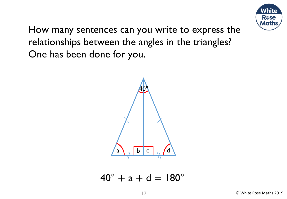

How many sentences can you write to express the relationships between the angles in the triangles? One has been done for you.



 $40^{\circ}$  + a + d = 180 $^{\circ}$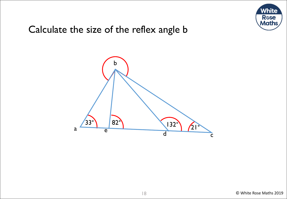

### Calculate the size of the reflex angle b

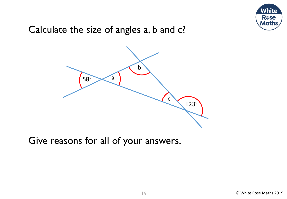

### Calculate the size of angles a, b and c?



Give reasons for all of your answers.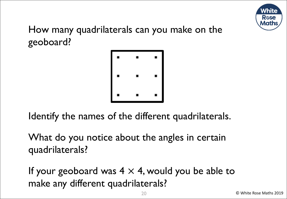

How many quadrilaterals can you make on the geoboard?



Identify the names of the different quadrilaterals.

What do you notice about the angles in certain quadrilaterals?

If your geoboard was  $4 \times 4$ , would you be able to make any different quadrilaterals?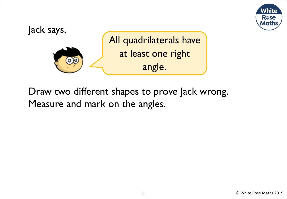



Draw two different shapes to prove Jack wrong. Measure and mark on the angles.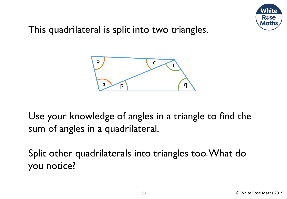

This quadrilateral is split into two triangles.



Use your knowledge of angles in a triangle to find the sum of angles in a quadrilateral.

Split other quadrilaterals into triangles too. What do you notice?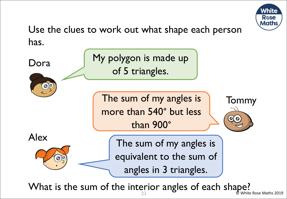

Use the clues to work out what shape each person has.



 $23$   $\bullet$  White Rose Maths 2019 What is the sum of the interior angles of each shape?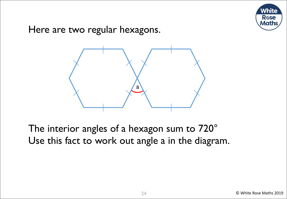

Here are two regular hexagons.



The interior angles of a hexagon sum to 720° Use this fact to work out angle a in the diagram.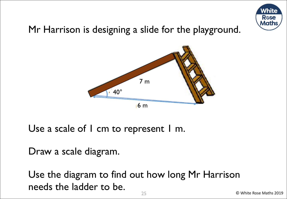

### Mr Harrison is designing a slide for the playground.



Use a scale of I cm to represent I m.

Draw a scale diagram.

Use the diagram to find out how long Mr Harrison needs the ladder to be.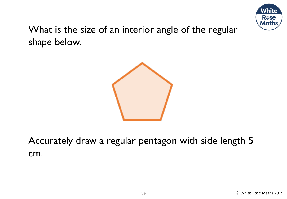

What is the size of an interior angle of the regular shape below.



Accurately draw a regular pentagon with side length 5 cm.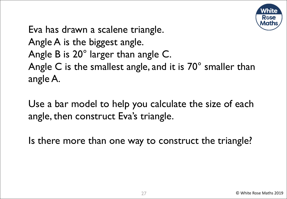

Eva has drawn a scalene triangle. Angle A is the biggest angle. Angle B is 20° larger than angle C. Angle C is the smallest angle, and it is 70° smaller than angle A.

Use a bar model to help you calculate the size of each angle, then construct Eva's triangle.

Is there more than one way to construct the triangle?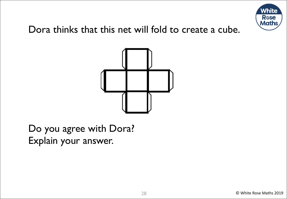

### Dora thinks that this net will fold to create a cube.



Do you agree with Dora? Explain your answer.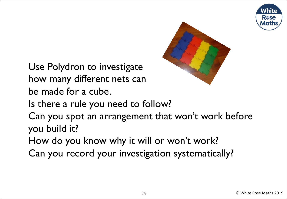



Use Polydron to investigate how many different nets can be made for a cube.

Is there a rule you need to follow?

Can you spot an arrangement that won't work before you build it?

How do you know why it will or won't work?

Can you record your investigation systematically?